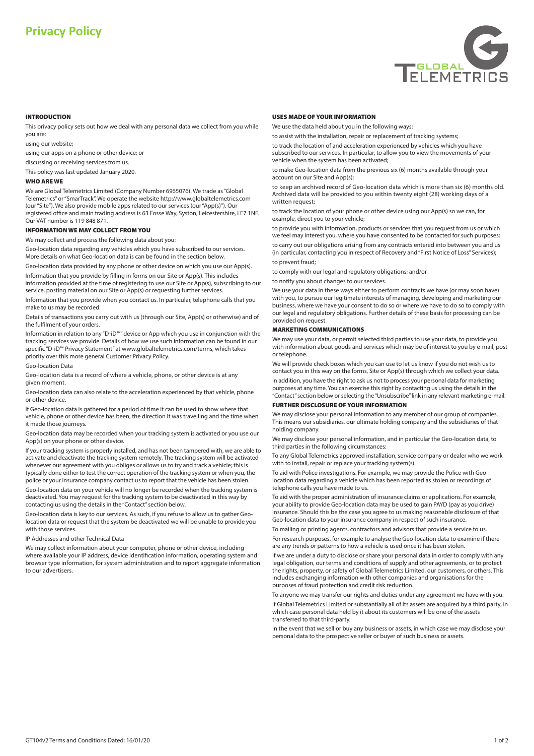# **Privacy Policy**



#### **INTRODUCTION**

This privacy policy sets out how we deal with any personal data we collect from you while you are:

using our website;

using our apps on a phone or other device; or

discussing or receiving services from us.

This policy was last updated January 2020.

### **WHO ARE WE**

We are Global Telemetrics Limited (Company Number 6965076). We trade as"Global Telemetrics"or"SmarTrack". We operate the website http://www.globaltelemetrics.com (our"Site"). We also provide mobile apps related to our services (our"App(s)"). Our registered office and main trading address is 63 Fosse Way, Syston, Leicestershire, LE7 1NF. Our VAT number is 119 848 871.

# **INFORMATION WE MAY COLLECT FROM YOU**

We may collect and process the following data about you:

Geo-location data regarding any vehicles which you have subscribed to our services. More details on what Geo-location data is can be found in the section below.

Geo-location data provided by any phone or other device on which you use our App(s). Information that you provide by filling in forms on our Site or App(s). This includes

information provided at the time of registering to use our Site or App(s), subscribing to our service, posting material on our Site or App(s) or requesting further services.

Information that you provide when you contact us. In particular, telephone calls that you make to us may be recorded.

Details of transactions you carry out with us (through our Site, App(s) or otherwise) and of the fulfilment of your orders.

Information in relation to any "D-iD™"device or App which you use in conjunction with the tracking services we provide. Details of how we use such information can be found in our specific "D-iD™ Privacy Statement" at www.globaltelemetrics.com/terms, which takes priority over this more general Customer Privacy Policy.

Geo-location Data

Geo-location data is a record of where a vehicle, phone, or other device is at any given moment.

Geo-location data can also relate to the acceleration experienced by that vehicle, phone or other device.

If Geo-location data is gathered for a period of time it can be used to show where that vehicle, phone or other device has been, the direction it was travelling and the time when it made those journeys.

Geo-location data may be recorded when your tracking system is activated or you use our App(s) on your phone or other device.

If your tracking system is properly installed, and has not been tampered with, we are able to activate and deactivate the tracking system remotely. The tracking system will be activated whenever our agreement with you obliges or allows us to try and track a vehicle; this is typically done either to test the correct operation of the tracking system or when you, the police or your insurance company contact us to report that the vehicle has been stolen.

Geo-location data on your vehicle will no longer be recorded when the tracking system is deactivated. You may request for the tracking system to be deactivated in this way by contacting us using the details in the "Contact"section below.

Geo-location data is key to our services. As such, if you refuse to allow us to gather Geolocation data or request that the system be deactivated we will be unable to provide you with those services

IP Addresses and other Technical Data

We may collect information about your computer, phone or other device, including where available your IP address, device identification information, operating system and browser type information, for system administration and to report aggregate information to our advertisers.

#### **USES MADE OF YOUR INFORMATION**

We use the data held about you in the following ways:

to assist with the installation, repair or replacement of tracking systems;

to track the location of and acceleration experienced by vehicles which you have subscribed to our services. In particular, to allow you to view the movements of your vehicle when the system has been activated;

to make Geo-location data from the previous six (6) months available through your account on our Site and App(s);

to keep an archived record of Geo-location data which is more than six (6) months old. Archived data will be provided to you within twenty eight (28) working days of a written request;

to track the location of your phone or other device using our App(s) so we can, for example, direct you to your vehicle;

to provide you with information, products or services that you request from us or which we feel may interest you, where you have consented to be contacted for such purposes;

to carry out our obligations arising from any contracts entered into between you and us (in particular, contacting you in respect of Recovery and"First Notice of Loss" Services);

# to prevent fraud;

to comply with our legal and regulatory obligations; and/or

to notify you about changes to our services.

We use your data in these ways either to perform contracts we have (or may soon have) with you, to pursue our legitimate interests of managing, developing and marketing our business, where we have your consent to do so or where we have to do so to comply with our legal and regulatory obligations. Further details of these basis for processing can be provided on request.

#### **MARKETING COMMUNICATIONS**

We may use your data, or permit selected third parties to use your data, to provide you with information about goods and services which may be of interest to you by e-mail, post or telephone.

We will provide check boxes which you can use to let us know if you do not wish us to contact you in this way on the forms, Site or App(s) through which we collect your data.

In addition, you have the right to ask us not to process your personal data for marketing purposes at any time. You can exercise this right by contacting us using the details in the "Contact"section below orselecting the"Unsubscribe"link in any relevant marketing e-mail.

#### **FURTHER DISCLOSURE OF YOUR INFORMATION**

We may disclose your personal information to any member of our group of companies. This means our subsidiaries, our ultimate holding company and the subsidiaries of that holding company.

We may disclose your personal information, and in particular the Geo-location data, to third parties in the following circumstances:

To any Global Telemetrics approved installation, service company or dealer who we work with to install, repair or replace your tracking system(s).

To aid with Police investigations. For example, we may provide the Police with Geolocation data regarding a vehicle which has been reported as stolen or recordings of telephone calls you have made to us.

To aid with the proper administration of insurance claims or applications. For example, your ability to provide Geo-location data may be used to gain PAYD (pay as you drive) insurance. Should this be the case you agree to us making reasonable disclosure of that Geo-location data to your insurance company in respect of such insurance.

To mailing or printing agents, contractors and advisors that provide a service to us. For research purposes, for example to analyse the Geo-location data to examine if there are any trends or patterns to how a vehicle is used once it has been stolen.

If we are under a duty to disclose or share your personal data in order to comply with any legal obligation, our terms and conditions of supply and other agreements, or to protect the rights, property, or safety of Global Telemetrics Limited, our customers, or others. This includes exchanging information with other companies and organisations for the purposes of fraud protection and credit risk reduction.

To anyone we may transfer our rights and duties under any agreement we have with you. If Global Telemetrics Limited or substantially all of its assets are acquired by a third party, in which case personal data held by it about its customers will be one of the assets transferred to that third-party.

In the event that we sell or buy any business or assets, in which case we may disclose your personal data to the prospective seller or buyer of such business or assets.